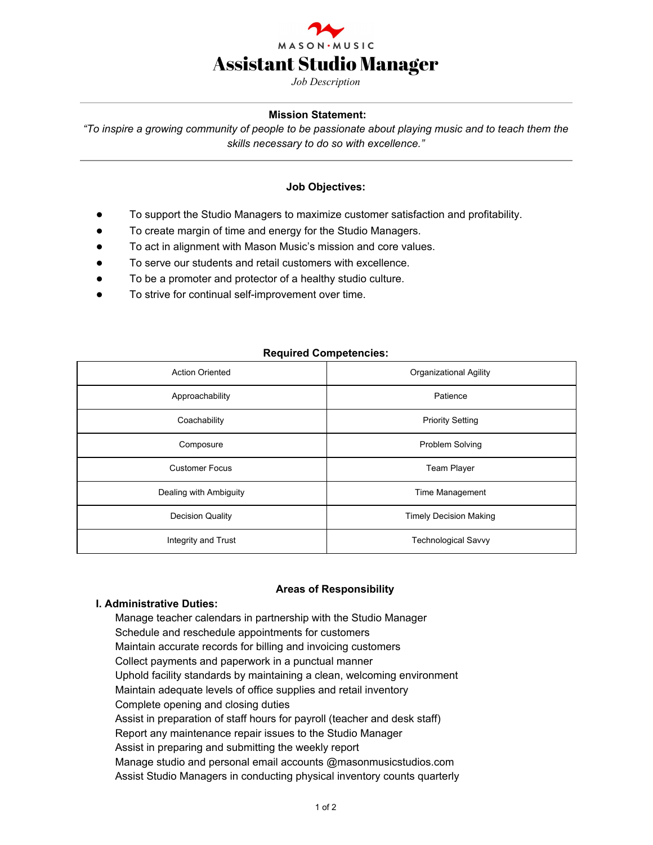

*Job Description*

## **Mission Statement:**

*"To inspire a growing community of people to be passionate about playing music and to teach them the skills necessary to do so with excellence."*

## **Job Objectives:**

- To support the Studio Managers to maximize customer satisfaction and profitability.
- To create margin of time and energy for the Studio Managers.
- To act in alignment with Mason Music's mission and core values.
- To serve our students and retail customers with excellence.
- To be a promoter and protector of a healthy studio culture.
- To strive for continual self-improvement over time.

## **Required Competencies:**

| <b>Action Oriented</b>  | Organizational Agility        |
|-------------------------|-------------------------------|
| Approachability         | Patience                      |
| Coachability            | <b>Priority Setting</b>       |
| Composure               | Problem Solving               |
| <b>Customer Focus</b>   | <b>Team Player</b>            |
| Dealing with Ambiguity  | Time Management               |
| <b>Decision Quality</b> | <b>Timely Decision Making</b> |
| Integrity and Trust     | <b>Technological Savvy</b>    |

#### **Areas of Responsibility**

#### **I. Administrative Duties:**

Manage teacher calendars in partnership with the Studio Manager Schedule and reschedule appointments for customers Maintain accurate records for billing and invoicing customers Collect payments and paperwork in a punctual manner Uphold facility standards by maintaining a clean, welcoming environment Maintain adequate levels of office supplies and retail inventory Complete opening and closing duties Assist in preparation of staff hours for payroll (teacher and desk staff) Report any maintenance repair issues to the Studio Manager Assist in preparing and submitting the weekly report Manage studio and personal email accounts @masonmusicstudios.com Assist Studio Managers in conducting physical inventory counts quarterly